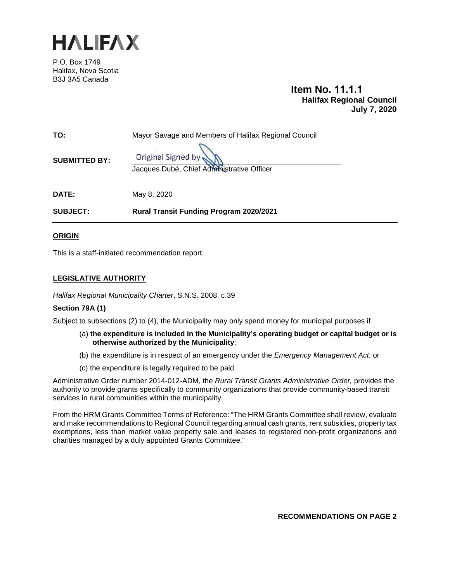

P.O. Box 1749 Halifax, Nova Scotia B3J 3A5 Canada

# **Item No. 11.1.1 Halifax Regional Council July 7, 2020**

| <b>SUBJECT:</b>      | <b>Rural Transit Funding Program 2020/2021</b>                   |
|----------------------|------------------------------------------------------------------|
| <b>DATE:</b>         | May 8, 2020                                                      |
| <b>SUBMITTED BY:</b> | Original Signed by<br>Jacques Dubé, Chief Administrative Officer |
| TO:                  | Mayor Savage and Members of Halifax Regional Council             |

**ORIGIN**

This is a staff-initiated recommendation report.

## **LEGISLATIVE AUTHORITY**

*Halifax Regional Municipality Charter*, S.N.S. 2008, c.39

#### **Section 79A (1)**

Subject to subsections (2) to (4), the Municipality may only spend money for municipal purposes if

- (a) **the expenditure is included in the Municipality's operating budget or capital budget or is otherwise authorized by the Municipality**;
- (b) the expenditure is in respect of an emergency under the *Emergency Management Act*; or
- (c) the expenditure is legally required to be paid.

Administrative Order number 2014-012-ADM, the *Rural Transit Grants Administrative Order,* provides the authority to provide grants specifically to community organizations that provide community-based transit services in rural communities within the municipality.

From the HRM Grants Committee Terms of Reference: "The HRM Grants Committee shall review, evaluate and make recommendations to Regional Council regarding annual cash grants, rent subsidies, property tax exemptions, less than market value property sale and leases to registered non-profit organizations and charities managed by a duly appointed Grants Committee."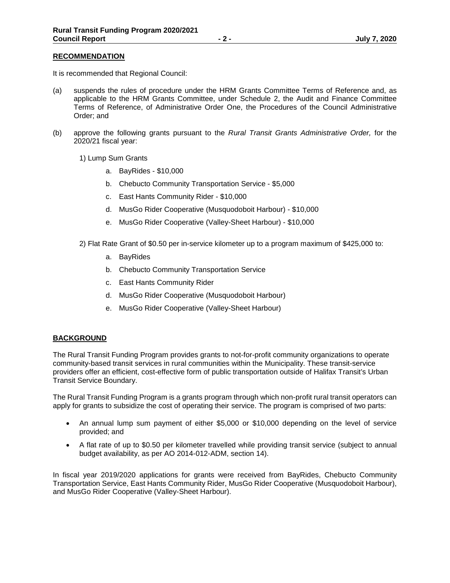#### **RECOMMENDATION**

It is recommended that Regional Council:

- (a) suspends the rules of procedure under the HRM Grants Committee Terms of Reference and, as applicable to the HRM Grants Committee, under Schedule 2, the Audit and Finance Committee Terms of Reference, of Administrative Order One, the Procedures of the Council Administrative Order; and
- (b) approve the following grants pursuant to the *Rural Transit Grants Administrative Order,* for the 2020/21 fiscal year:
	- 1) Lump Sum Grants
		- a. BayRides \$10,000
		- b. Chebucto Community Transportation Service \$5,000
		- c. East Hants Community Rider \$10,000
		- d. MusGo Rider Cooperative (Musquodoboit Harbour) \$10,000
		- e. MusGo Rider Cooperative (Valley-Sheet Harbour) \$10,000
	- 2) Flat Rate Grant of \$0.50 per in-service kilometer up to a program maximum of \$425,000 to:
		- a. BayRides
		- b. Chebucto Community Transportation Service
		- c. East Hants Community Rider
		- d. MusGo Rider Cooperative (Musquodoboit Harbour)
		- e. MusGo Rider Cooperative (Valley-Sheet Harbour)

#### **BACKGROUND**

The Rural Transit Funding Program provides grants to not-for-profit community organizations to operate community-based transit services in rural communities within the Municipality. These transit-service providers offer an efficient, cost-effective form of public transportation outside of Halifax Transit's Urban Transit Service Boundary.

The Rural Transit Funding Program is a grants program through which non-profit rural transit operators can apply for grants to subsidize the cost of operating their service. The program is comprised of two parts:

- An annual lump sum payment of either \$5,000 or \$10,000 depending on the level of service provided; and
- A flat rate of up to \$0.50 per kilometer travelled while providing transit service (subject to annual budget availability, as per AO 2014-012-ADM, section 14).

In fiscal year 2019/2020 applications for grants were received from BayRides, Chebucto Community Transportation Service, East Hants Community Rider, MusGo Rider Cooperative (Musquodoboit Harbour), and MusGo Rider Cooperative (Valley-Sheet Harbour).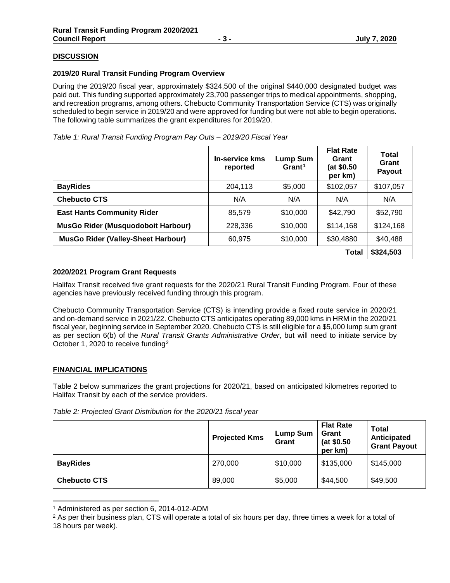## **DISCUSSION**

#### **2019/20 Rural Transit Funding Program Overview**

During the 2019/20 fiscal year, approximately \$324,500 of the original \$440,000 designated budget was paid out. This funding supported approximately 23,700 passenger trips to medical appointments, shopping, and recreation programs, among others. Chebucto Community Transportation Service (CTS) was originally scheduled to begin service in 2019/20 and were approved for funding but were not able to begin operations. The following table summarizes the grant expenditures for 2019/20.

| Table 1: Rural Transit Funding Program Pay Outs - 2019/20 Fiscal Year |  |
|-----------------------------------------------------------------------|--|
|-----------------------------------------------------------------------|--|

|                                           | <b>In-service kms</b><br>reported | <b>Lump Sum</b><br>Grant <sup>1</sup> | <b>Flat Rate</b><br>Grant<br>(at \$0.50<br>per km) | Total<br>Grant<br>Payout |
|-------------------------------------------|-----------------------------------|---------------------------------------|----------------------------------------------------|--------------------------|
| <b>BayRides</b>                           | 204,113                           | \$5,000                               | \$102,057                                          | \$107,057                |
| <b>Chebucto CTS</b>                       | N/A                               | N/A                                   | N/A                                                | N/A                      |
| <b>East Hants Community Rider</b>         | 85,579                            | \$10,000                              | \$42,790                                           | \$52,790                 |
| MusGo Rider (Musquodoboit Harbour)        | 228,336                           | \$10,000                              | \$114,168                                          | \$124,168                |
| <b>MusGo Rider (Valley-Sheet Harbour)</b> | 60,975                            | \$10,000                              | \$30,4880                                          | \$40,488                 |
|                                           |                                   |                                       | <b>Total</b>                                       | \$324,503                |

#### **2020/2021 Program Grant Requests**

Halifax Transit received five grant requests for the 2020/21 Rural Transit Funding Program. Four of these agencies have previously received funding through this program.

Chebucto Community Transportation Service (CTS) is intending provide a fixed route service in 2020/21 and on-demand service in 2021/22. Chebucto CTS anticipates operating 89,000 kms in HRM in the 2020/21 fiscal year, beginning service in September 2020. Chebucto CTS is still eligible for a \$5,000 lump sum grant as per section 6(b) of the *Rural Transit Grants Administrative Order*, but will need to initiate service by October 1, 2020 to receive funding[2](#page-2-1) 

#### **FINANCIAL IMPLICATIONS**

Table 2 below summarizes the grant projections for 2020/21, based on anticipated kilometres reported to Halifax Transit by each of the service providers.

|                     | <b>Projected Kms</b> | Lump Sum<br>Grant | <b>Flat Rate</b><br>Grant<br>(at \$0.50<br>per km) | <b>Total</b><br>Anticipated<br><b>Grant Payout</b> |
|---------------------|----------------------|-------------------|----------------------------------------------------|----------------------------------------------------|
| <b>BayRides</b>     | 270,000              | \$10,000          | \$135,000                                          | \$145,000                                          |
| <b>Chebucto CTS</b> | 89,000               | \$5,000           | \$44,500                                           | \$49,500                                           |

 <sup>1</sup> Administered as per section 6, 2014-012-ADM

<sup>&</sup>lt;sup>2</sup> As per their business plan, CTS will operate a total of six hours per day, three times a week for a total of

<span id="page-2-1"></span><span id="page-2-0"></span><sup>18</sup> hours per week).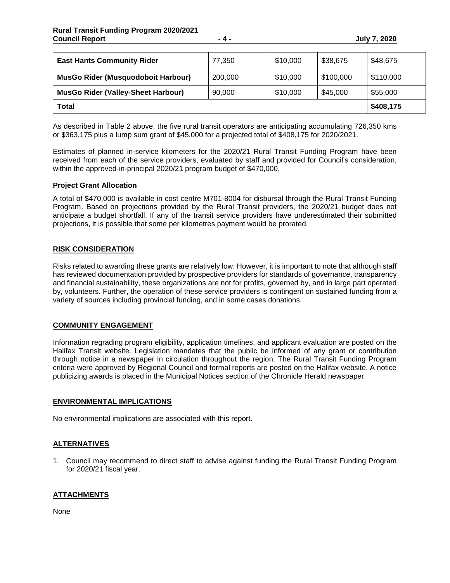| <b>East Hants Community Rider</b>         | 77,350  | \$10,000 | \$38,675  | \$48,675  |
|-------------------------------------------|---------|----------|-----------|-----------|
| <b>MusGo Rider (Musquodoboit Harbour)</b> | 200,000 | \$10,000 | \$100,000 | \$110,000 |
| <b>MusGo Rider (Valley-Sheet Harbour)</b> | 90,000  | \$10,000 | \$45,000  | \$55,000  |
| <b>Total</b>                              |         |          |           | \$408,175 |

As described in Table 2 above, the five rural transit operators are anticipating accumulating 726,350 kms or \$363,175 plus a lump sum grant of \$45,000 for a projected total of \$408,175 for 2020/2021.

Estimates of planned in-service kilometers for the 2020/21 Rural Transit Funding Program have been received from each of the service providers, evaluated by staff and provided for Council's consideration, within the approved-in-principal 2020/21 program budget of \$470,000.

#### **Project Grant Allocation**

A total of \$470,000 is available in cost centre M701-8004 for disbursal through the Rural Transit Funding Program. Based on projections provided by the Rural Transit providers, the 2020/21 budget does not anticipate a budget shortfall. If any of the transit service providers have underestimated their submitted projections, it is possible that some per kilometres payment would be prorated.

## **RISK CONSIDERATION**

Risks related to awarding these grants are relatively low. However, it is important to note that although staff has reviewed documentation provided by prospective providers for standards of governance, transparency and financial sustainability, these organizations are not for profits, governed by, and in large part operated by, volunteers. Further, the operation of these service providers is contingent on sustained funding from a variety of sources including provincial funding, and in some cases donations.

# **COMMUNITY ENGAGEMENT**

Information regrading program eligibility, application timelines, and applicant evaluation are posted on the Halifax Transit website. Legislation mandates that the public be informed of any grant or contribution through notice in a newspaper in circulation throughout the region. The Rural Transit Funding Program criteria were approved by Regional Council and formal reports are posted on the Halifax website. A notice publicizing awards is placed in the Municipal Notices section of the Chronicle Herald newspaper.

#### **ENVIRONMENTAL IMPLICATIONS**

No environmental implications are associated with this report.

# **ALTERNATIVES**

1. Council may recommend to direct staff to advise against funding the Rural Transit Funding Program for 2020/21 fiscal year.

# **ATTACHMENTS**

None